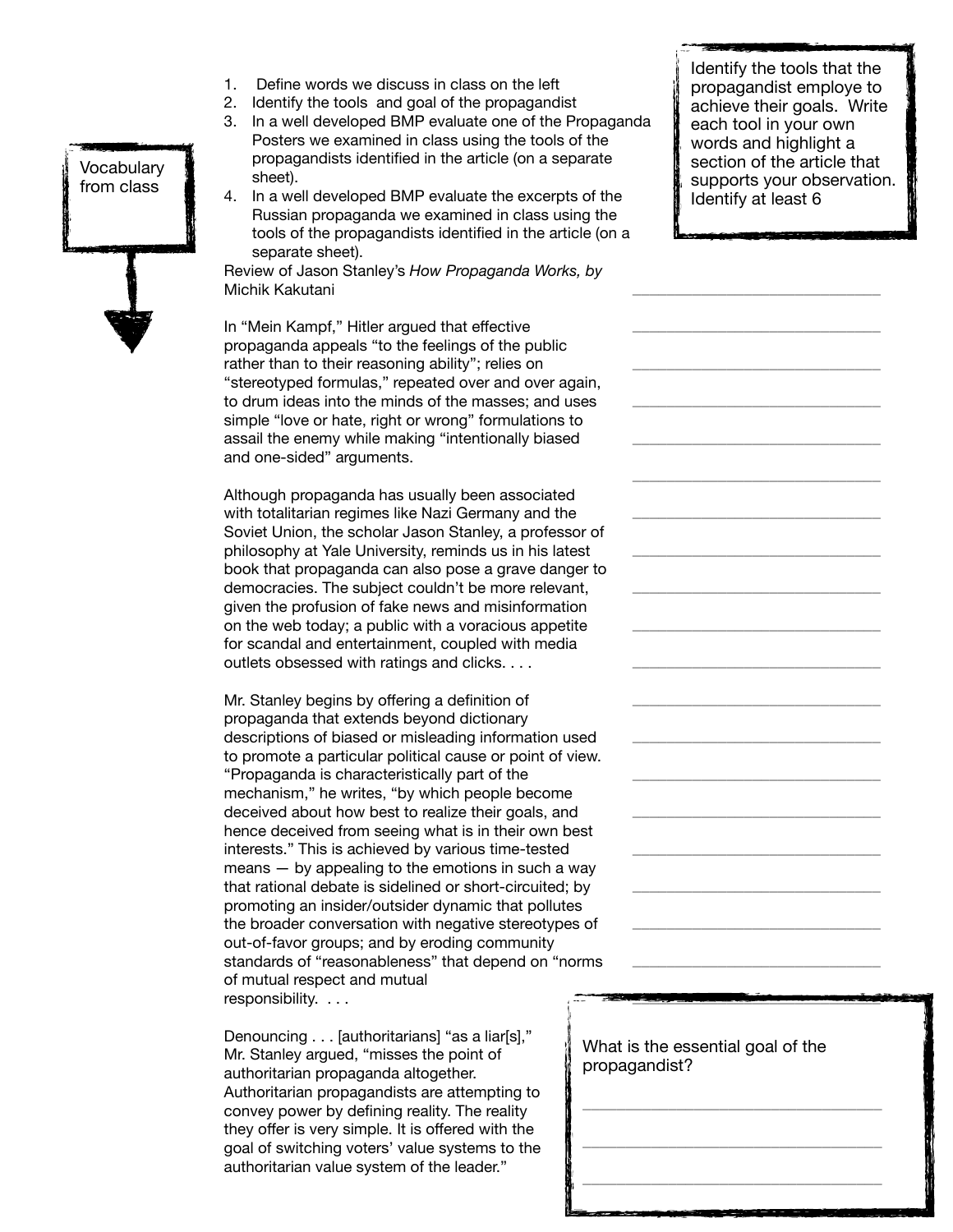- 1. Define words we discuss in class on the left
- 2. Identify the tools and goal of the propagandist
- 3. In a well developed BMP evaluate one of the Propaganda Posters we examined in class using the tools of the propagandists identified in the article (on a separate sheet).
- 4. In a well developed BMP evaluate the excerpts of the Russian propaganda we examined in class using the tools of the propagandists identified in the article (on a separate sheet).

Review of Jason Stanley's *How Propaganda Works, by*  Michik Kakutani

In "Mein Kampf," Hitler argued that effective propaganda appeals "to the feelings of the public rather than to their reasoning ability"; relies on "stereotyped formulas," repeated over and over again, to drum ideas into the minds of the masses; and uses simple "love or hate, right or wrong" formulations to assail the enemy while making "intentionally biased and one-sided" arguments.

Although propaganda has usually been associated with totalitarian regimes like Nazi Germany and the Soviet Union, the scholar Jason Stanley, a professor of philosophy at Yale University, reminds us in his latest book that propaganda can also pose a grave danger to democracies. The subject couldn't be more relevant, given the profusion of fake news and misinformation on the web today; a public with a voracious appetite for scandal and entertainment, coupled with media outlets obsessed with ratings and clicks. . . .

Mr. Stanley begins by offering a definition of propaganda that extends beyond dictionary descriptions of biased or misleading information used to promote a particular political cause or point of view. "Propaganda is characteristically part of the mechanism," he writes, "by which people become deceived about how best to realize their goals, and hence deceived from seeing what is in their own best interests." This is achieved by various time-tested means  $-$  by appealing to the emotions in such a way that rational debate is sidelined or short-circuited; by promoting an insider/outsider dynamic that pollutes the broader conversation with negative stereotypes of out-of-favor groups; and by eroding community standards of "reasonableness" that depend on "norms of mutual respect and mutual responsibility. . . .

Denouncing . . . [authoritarians] "as a liar[s]," Mr. Stanley argued, "misses the point of authoritarian propaganda altogether. Authoritarian propagandists are attempting to convey power by defining reality. The reality they offer is very simple. It is offered with the goal of switching voters' value systems to the authoritarian value system of the leader."

What is the essential goal of the propagandist?

\_\_\_\_\_\_\_\_\_\_\_\_\_\_\_\_\_\_\_\_\_\_\_\_\_\_\_\_\_\_\_\_\_\_\_

\_\_\_\_\_\_\_\_\_\_\_\_\_\_\_\_\_\_\_\_\_\_\_\_\_\_\_\_\_\_\_\_\_\_\_

\_\_\_\_\_\_\_\_\_\_\_\_\_\_\_\_\_\_\_\_\_\_\_\_\_\_\_\_\_\_\_\_\_\_\_

Identify the tools that the propagandist employe to achieve their goals. Write each tool in your own words and highlight a section of the article that supports your observation. Identify at least 6

\_\_\_\_\_\_\_\_\_\_\_\_\_\_\_\_\_\_\_\_\_\_\_\_\_\_\_\_\_

\_\_\_\_\_\_\_\_\_\_\_\_\_\_\_\_\_\_\_\_\_\_\_\_\_\_\_\_\_

\_\_\_\_\_\_\_\_\_\_\_\_\_\_\_\_\_\_\_\_\_\_\_\_\_\_\_\_\_

\_\_\_\_\_\_\_\_\_\_\_\_\_\_\_\_\_\_\_\_\_\_\_\_\_\_\_\_\_

\_\_\_\_\_\_\_\_\_\_\_\_\_\_\_\_\_\_\_\_\_\_\_\_\_\_\_\_\_

\_\_\_\_\_\_\_\_\_\_\_\_\_\_\_\_\_\_\_\_\_\_\_\_\_\_\_\_\_

\_\_\_\_\_\_\_\_\_\_\_\_\_\_\_\_\_\_\_\_\_\_\_\_\_\_\_\_\_

\_\_\_\_\_\_\_\_\_\_\_\_\_\_\_\_\_\_\_\_\_\_\_\_\_\_\_\_\_

\_\_\_\_\_\_\_\_\_\_\_\_\_\_\_\_\_\_\_\_\_\_\_\_\_\_\_\_\_

\_\_\_\_\_\_\_\_\_\_\_\_\_\_\_\_\_\_\_\_\_\_\_\_\_\_\_\_\_

\_\_\_\_\_\_\_\_\_\_\_\_\_\_\_\_\_\_\_\_\_\_\_\_\_\_\_\_\_

\_\_\_\_\_\_\_\_\_\_\_\_\_\_\_\_\_\_\_\_\_\_\_\_\_\_\_\_\_

\_\_\_\_\_\_\_\_\_\_\_\_\_\_\_\_\_\_\_\_\_\_\_\_\_\_\_\_\_

\_\_\_\_\_\_\_\_\_\_\_\_\_\_\_\_\_\_\_\_\_\_\_\_\_\_\_\_\_

\_\_\_\_\_\_\_\_\_\_\_\_\_\_\_\_\_\_\_\_\_\_\_\_\_\_\_\_\_

\_\_\_\_\_\_\_\_\_\_\_\_\_\_\_\_\_\_\_\_\_\_\_\_\_\_\_\_\_

\_\_\_\_\_\_\_\_\_\_\_\_\_\_\_\_\_\_\_\_\_\_\_\_\_\_\_\_\_

\_\_\_\_\_\_\_\_\_\_\_\_\_\_\_\_\_\_\_\_\_\_\_\_\_\_\_\_\_

\_\_\_\_\_\_\_\_\_\_\_\_\_\_\_\_\_\_\_\_\_\_\_\_\_\_\_\_\_

\_\_\_\_\_\_\_\_\_\_\_\_\_\_\_\_\_\_\_\_\_\_\_\_\_\_\_\_\_

Vocabulary from class